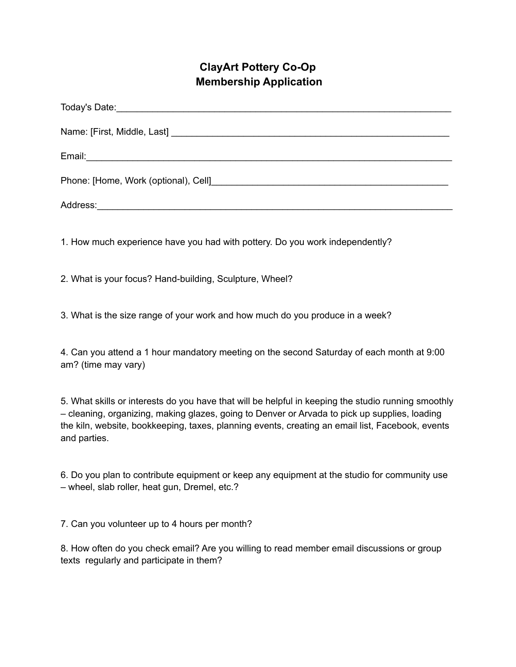## **ClayArt Pottery Co-Op Membership Application**

| 1. How much experience have you had with pottery. Do you work independently? |
|------------------------------------------------------------------------------|

2. What is your focus? Hand-building, Sculpture, Wheel?

3. What is the size range of your work and how much do you produce in a week?

4. Can you attend a 1 hour mandatory meeting on the second Saturday of each month at 9:00 am? (time may vary)

5. What skills or interests do you have that will be helpful in keeping the studio running smoothly – cleaning, organizing, making glazes, going to Denver or Arvada to pick up supplies, loading the kiln, website, bookkeeping, taxes, planning events, creating an email list, Facebook, events and parties.

6. Do you plan to contribute equipment or keep any equipment at the studio for community use – wheel, slab roller, heat gun, Dremel, etc.?

7. Can you volunteer up to 4 hours per month?

8. How often do you check email? Are you willing to read member email discussions or group texts regularly and participate in them?